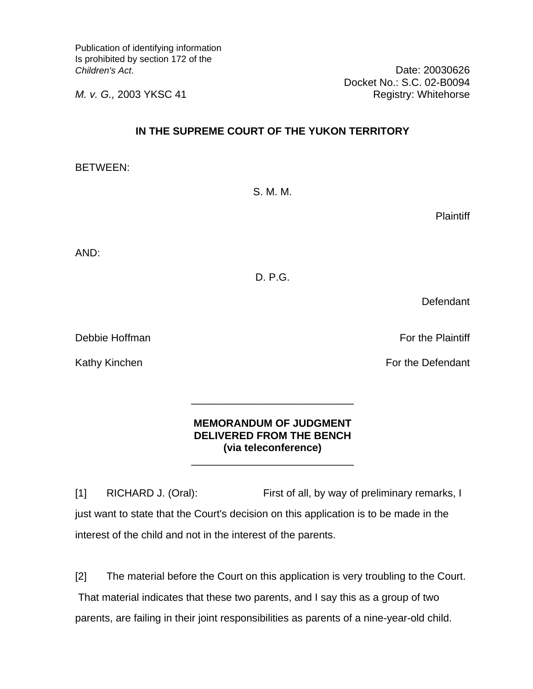Publication of identifying information Is prohibited by section 172 of the *Children's Act*. Date: 20030626

*M. v. G.,* 2003 YKSC 41 Registry: Whitehorse

## **IN THE SUPREME COURT OF THE YUKON TERRITORY**

BETWEEN:

**Plaintiff** 

AND:

D. P.G.

**Defendant** 

Debbie Hoffman For the Plaintiff

# **MEMORANDUM OF JUDGMENT DELIVERED FROM THE BENCH (via teleconference)**

 $\frac{1}{\sqrt{2\pi}}$  ,  $\frac{1}{\sqrt{2\pi}}$  ,  $\frac{1}{\sqrt{2\pi}}$  ,  $\frac{1}{\sqrt{2\pi}}$  ,  $\frac{1}{\sqrt{2\pi}}$  ,  $\frac{1}{\sqrt{2\pi}}$  ,  $\frac{1}{\sqrt{2\pi}}$  ,  $\frac{1}{\sqrt{2\pi}}$  ,  $\frac{1}{\sqrt{2\pi}}$  ,  $\frac{1}{\sqrt{2\pi}}$  ,  $\frac{1}{\sqrt{2\pi}}$  ,  $\frac{1}{\sqrt{2\pi}}$  ,  $\frac{1}{\sqrt{2\pi}}$  ,

 $\frac{1}{\sqrt{2\pi}}$  ,  $\frac{1}{\sqrt{2\pi}}$  ,  $\frac{1}{\sqrt{2\pi}}$  ,  $\frac{1}{\sqrt{2\pi}}$  ,  $\frac{1}{\sqrt{2\pi}}$  ,  $\frac{1}{\sqrt{2\pi}}$  ,  $\frac{1}{\sqrt{2\pi}}$  ,  $\frac{1}{\sqrt{2\pi}}$  ,  $\frac{1}{\sqrt{2\pi}}$  ,  $\frac{1}{\sqrt{2\pi}}$  ,  $\frac{1}{\sqrt{2\pi}}$  ,  $\frac{1}{\sqrt{2\pi}}$  ,  $\frac{1}{\sqrt{2\pi}}$  ,

[1] RICHARD J. (Oral): First of all, by way of preliminary remarks, I just want to state that the Court's decision on this application is to be made in the interest of the child and not in the interest of the parents.

[2] The material before the Court on this application is very troubling to the Court. That material indicates that these two parents, and I say this as a group of two parents, are failing in their joint responsibilities as parents of a nine-year-old child.

Docket No.: S.C. 02-B0094

Kathy Kinchen For the Defendant

S. M. M.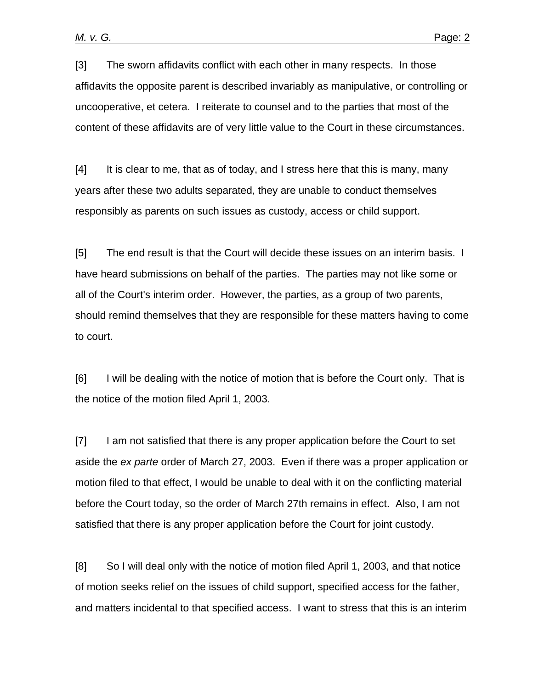[3] The sworn affidavits conflict with each other in many respects. In those affidavits the opposite parent is described invariably as manipulative, or controlling or uncooperative, et cetera. I reiterate to counsel and to the parties that most of the content of these affidavits are of very little value to the Court in these circumstances.

[4] It is clear to me, that as of today, and I stress here that this is many, many years after these two adults separated, they are unable to conduct themselves responsibly as parents on such issues as custody, access or child support.

[5] The end result is that the Court will decide these issues on an interim basis. I have heard submissions on behalf of the parties. The parties may not like some or all of the Court's interim order. However, the parties, as a group of two parents, should remind themselves that they are responsible for these matters having to come to court.

[6] I will be dealing with the notice of motion that is before the Court only. That is the notice of the motion filed April 1, 2003.

[7] I am not satisfied that there is any proper application before the Court to set aside the *ex parte* order of March 27, 2003. Even if there was a proper application or motion filed to that effect, I would be unable to deal with it on the conflicting material before the Court today, so the order of March 27th remains in effect. Also, I am not satisfied that there is any proper application before the Court for joint custody.

[8] So I will deal only with the notice of motion filed April 1, 2003, and that notice of motion seeks relief on the issues of child support, specified access for the father, and matters incidental to that specified access. I want to stress that this is an interim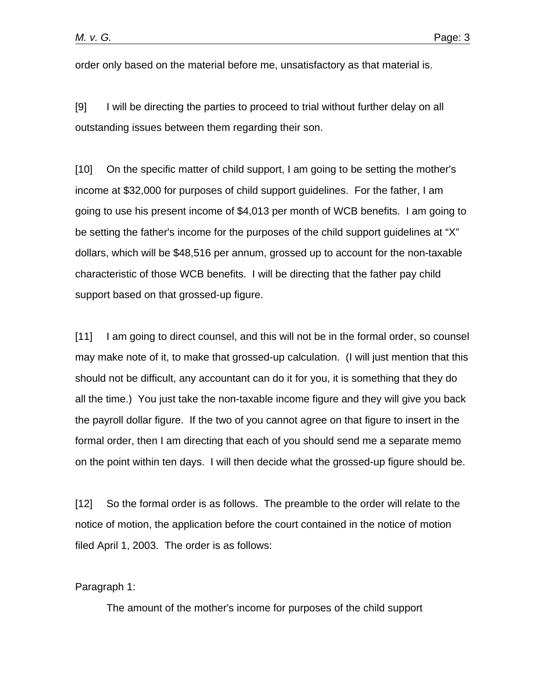order only based on the material before me, unsatisfactory as that material is.

[9] I will be directing the parties to proceed to trial without further delay on all outstanding issues between them regarding their son.

[10] On the specific matter of child support, I am going to be setting the mother's income at \$32,000 for purposes of child support guidelines. For the father, I am going to use his present income of \$4,013 per month of WCB benefits. I am going to be setting the father's income for the purposes of the child support guidelines at "X" dollars, which will be \$48,516 per annum, grossed up to account for the non-taxable characteristic of those WCB benefits. I will be directing that the father pay child support based on that grossed-up figure.

[11] I am going to direct counsel, and this will not be in the formal order, so counsel may make note of it, to make that grossed-up calculation. (I will just mention that this should not be difficult, any accountant can do it for you, it is something that they do all the time.) You just take the non-taxable income figure and they will give you back the payroll dollar figure. If the two of you cannot agree on that figure to insert in the formal order, then I am directing that each of you should send me a separate memo on the point within ten days. I will then decide what the grossed-up figure should be.

[12] So the formal order is as follows. The preamble to the order will relate to the notice of motion, the application before the court contained in the notice of motion filed April 1, 2003. The order is as follows:

Paragraph 1:

The amount of the mother's income for purposes of the child support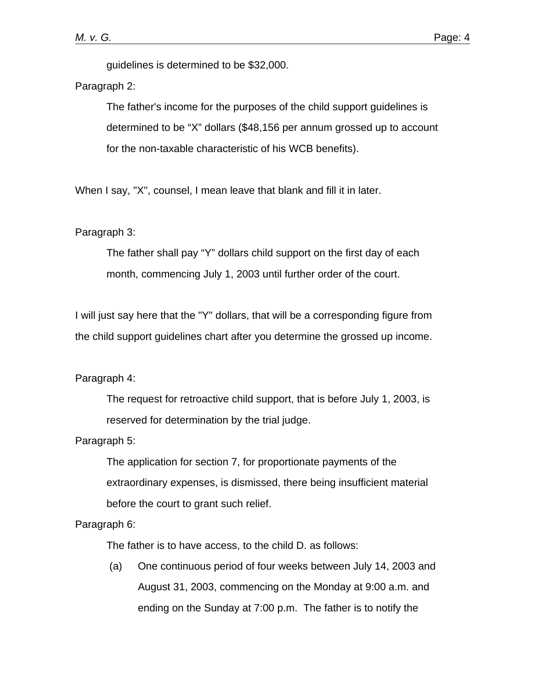guidelines is determined to be \$32,000.

## Paragraph 2:

The father's income for the purposes of the child support guidelines is determined to be "X" dollars (\$48,156 per annum grossed up to account for the non-taxable characteristic of his WCB benefits).

When I say, "X", counsel, I mean leave that blank and fill it in later.

#### Paragraph 3:

The father shall pay "Y" dollars child support on the first day of each month, commencing July 1, 2003 until further order of the court.

I will just say here that the "Y" dollars, that will be a corresponding figure from the child support guidelines chart after you determine the grossed up income.

### Paragraph 4:

The request for retroactive child support, that is before July 1, 2003, is reserved for determination by the trial judge.

#### Paragraph 5:

The application for section 7, for proportionate payments of the extraordinary expenses, is dismissed, there being insufficient material before the court to grant such relief.

Paragraph 6:

The father is to have access, to the child D. as follows:

 (a) One continuous period of four weeks between July 14, 2003 and August 31, 2003, commencing on the Monday at 9:00 a.m. and ending on the Sunday at 7:00 p.m. The father is to notify the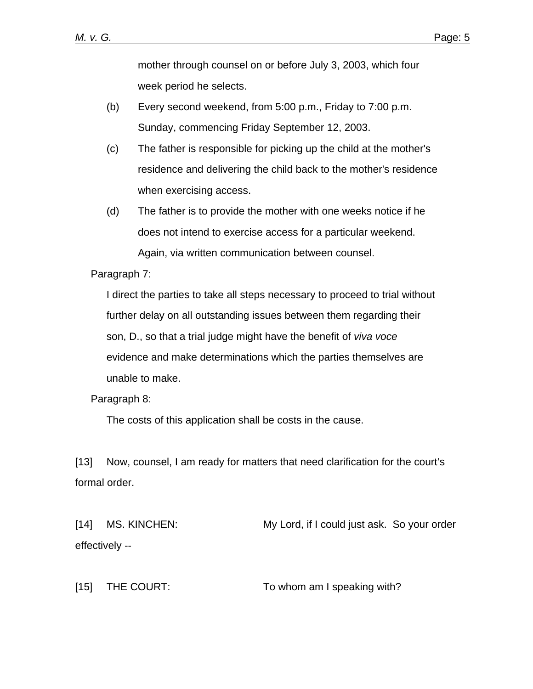mother through counsel on or before July 3, 2003, which four week period he selects.

- (b) Every second weekend, from 5:00 p.m., Friday to 7:00 p.m. Sunday, commencing Friday September 12, 2003.
- (c) The father is responsible for picking up the child at the mother's residence and delivering the child back to the mother's residence when exercising access.
- (d) The father is to provide the mother with one weeks notice if he does not intend to exercise access for a particular weekend. Again, via written communication between counsel.

Paragraph 7:

I direct the parties to take all steps necessary to proceed to trial without further delay on all outstanding issues between them regarding their son, D., so that a trial judge might have the benefit of *viva voce* evidence and make determinations which the parties themselves are unable to make.

Paragraph 8:

The costs of this application shall be costs in the cause.

[13] Now, counsel, I am ready for matters that need clarification for the court's formal order.

[14] MS. KINCHEN: My Lord, if I could just ask. So your order effectively --

[15] THE COURT: To whom am I speaking with?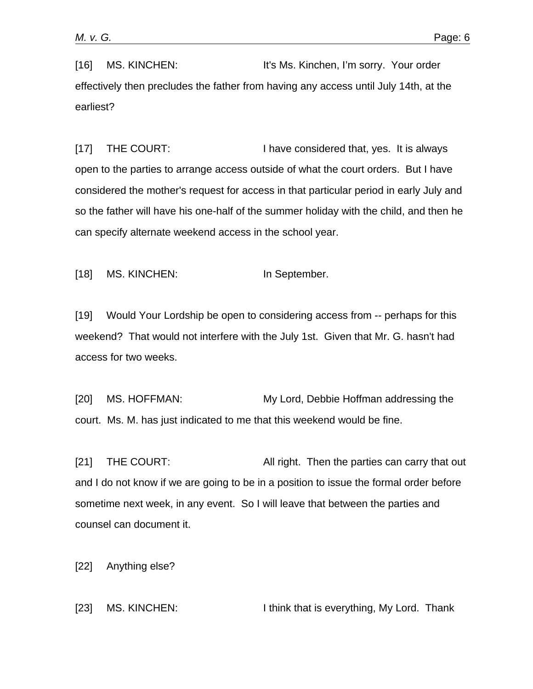[16] MS. KINCHEN: It's Ms. Kinchen, I'm sorry. Your order effectively then precludes the father from having any access until July 14th, at the earliest?

[17] THE COURT: I have considered that, yes. It is always open to the parties to arrange access outside of what the court orders. But I have considered the mother's request for access in that particular period in early July and so the father will have his one-half of the summer holiday with the child, and then he can specify alternate weekend access in the school year.

[18] MS. KINCHEN: In September.

[19] Would Your Lordship be open to considering access from -- perhaps for this weekend? That would not interfere with the July 1st. Given that Mr. G. hasn't had access for two weeks.

[20] MS. HOFFMAN: My Lord, Debbie Hoffman addressing the court. Ms. M. has just indicated to me that this weekend would be fine.

[21] THE COURT: All right. Then the parties can carry that out and I do not know if we are going to be in a position to issue the formal order before sometime next week, in any event. So I will leave that between the parties and counsel can document it.

[22] Anything else?

[23] MS. KINCHEN: I think that is everything, My Lord. Thank